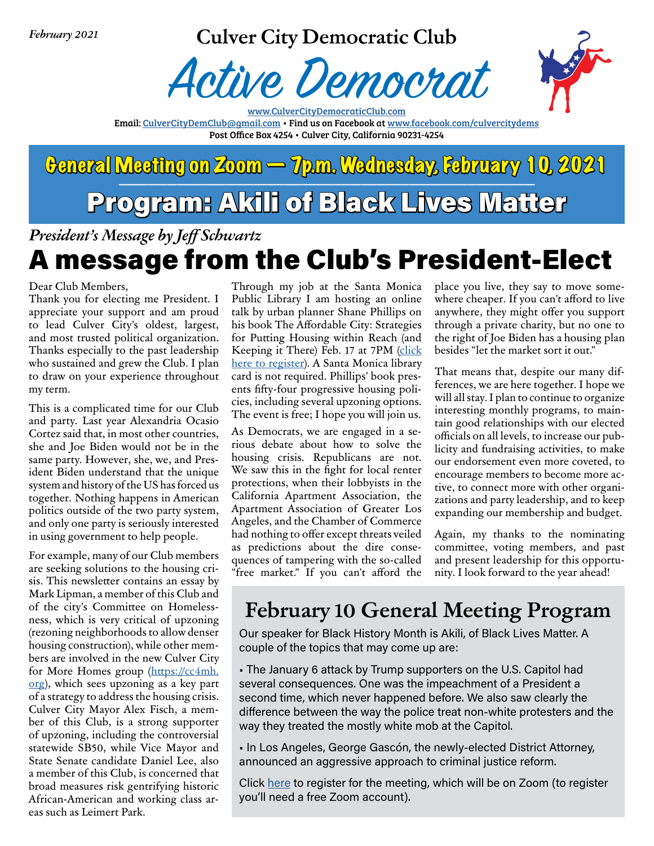*February 2021*

### **Culver City Democratic Club**





www.CulverCityDemocraticClub.com Email: CulverCityDemClub@gmail.com • Find us on Facebook at www.facebook.com/culvercitydems Post Office Box 4254 • Culver City, California 90231-4254

## General Meeting on Zoom  $\sim$  Tp.m. Wednesday, February 10, 2021 Program: Akili of Black Lives Matter

*President's Message by Jef Schwartz*

## A message from the Club's President-Elect

Dear Club Members,

Thank you for electing me President. I appreciate your support and am proud to lead Culver City's oldest, largest, and most trusted political organization. Thanks especially to the past leadership who sustained and grew the Club. I plan to draw on your experience throughout my term.

This is a complicated time for our Club and party. Last year Alexandria Ocasio Cortez said that, in most other countries, she and Joe Biden would not be in the same party. However, she, we, and President Biden understand that the unique system and history of the US has forced us together. Nothing happens in American politics outside of the two party system, and only one party is seriously interested in using government to help people.

For example, many of our Club members are seeking solutions to the housing crisis. This newsleter contains an essay by Mark Lipman, a member of this Club and of the city's Commitee on Homelessness, which is very critical of upzoning (rezoning neighborhoods to allow denser housing construction), while other members are involved in the new Culver City for More Homes group (https://cc4mh. org), which sees upzoning as a key part of a strategy to address the housing crisis. Culver City Mayor Alex Fisch, a member of this Club, is a strong supporter of upzoning, including the controversial statewide SB50, while Vice Mayor and State Senate candidate Daniel Lee, also a member of this Club, is concerned that broad measures risk gentrifying historic African-American and working class areas such as Leimert Park.

Through my job at the Santa Monica Public Library I am hosting an online talk by urban planner Shane Phillips on his book The Afordable City: Strategies for Puting Housing within Reach (and Keeping it There) Feb. 17 at 7PM (click here to register). A Santa Monica library card is not required. Phillips' book presents ffy-four progressive housing policies, including several upzoning options. The event is free; I hope you will join us.

As Democrats, we are engaged in a serious debate about how to solve the housing crisis. Republicans are not. We saw this in the fight for local renter protections, when their lobbyists in the California Apartment Association, the Apartment Association of Greater Los Angeles, and the Chamber of Commerce had nothing to offer except threats veiled as predictions about the dire consequences of tampering with the so-called "free market." If you can't afford the

place you live, they say to move somewhere cheaper. If you can't afford to live anywhere, they might offer you support through a private charity, but no one to the right of Joe Biden has a housing plan besides "let the market sort it out."

That means that, despite our many differences, we are here together. I hope we will all stay. I plan to continue to organize interesting monthly programs, to maintain good relationships with our elected officials on all levels, to increase our publicity and fundraising activities, to make our endorsement even more coveted, to encourage members to become more active, to connect more with other organizations and party leadership, and to keep expanding our membership and budget.

Again, my thanks to the nominating commitee, voting members, and past and present leadership for this opportunity. I look forward to the year ahead!

## **February 10 General Meeting Program**

Our speaker for Black History Month is Akili, of Black Lives Matter. A couple of the topics that may come up are:

• The January 6 attack by Trump supporters on the U.S. Capitol had several consequences. One was the impeachment of a President a second time, which never happened before. We also saw clearly the diference between the way the police treat non-white protesters and the way they treated the mostly white mob at the Capitol.

• In Los Angeles, George Gascón, the newly-elected District Attorney, announced an aggressive approach to criminal justice reform.

Click here to register for the meeting, which will be on Zoom (to register you'll need a free Zoom account).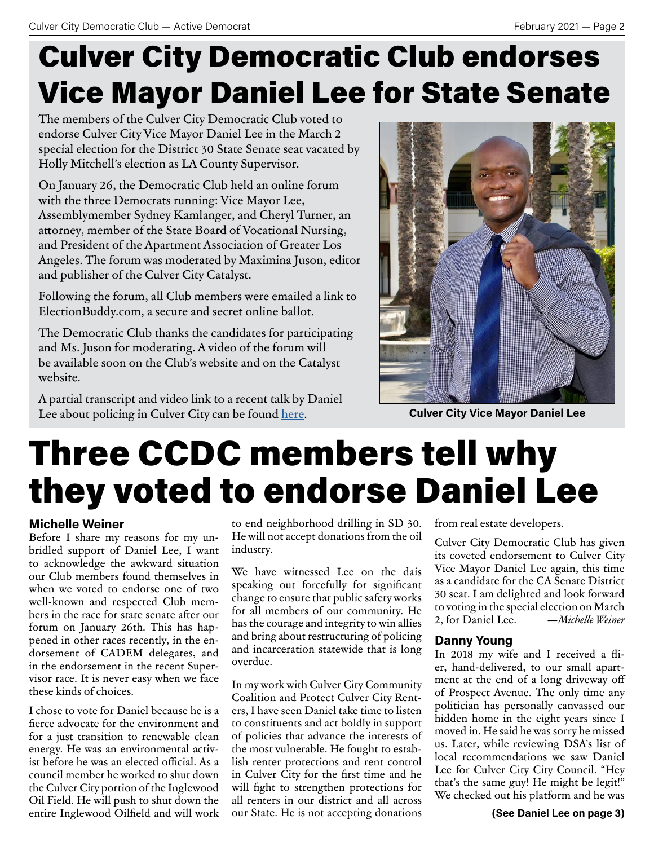# Culver City Democratic Club endorses Vice Mayor Daniel Lee for State Senate

The members of the Culver City Democratic Club voted to endorse Culver City Vice Mayor Daniel Lee in the March 2 special election for the District 30 State Senate seat vacated by Holly Mitchell's election as LA County Supervisor.

On January 26, the Democratic Club held an online forum with the three Democrats running: Vice Mayor Lee, Assemblymember Sydney Kamlanger, and Cheryl Turner, an atorney, member of the State Board of Vocational Nursing, and President of the Apartment Association of Greater Los Angeles. The forum was moderated by Maximina Juson, editor and publisher of the Culver City Catalyst.

Following the forum, all Club members were emailed a link to ElectionBuddy.com, a secure and secret online ballot.

The Democratic Club thanks the candidates for participating and Ms. Juson for moderating. A video of the forum will be available soon on the Club's website and on the Catalyst website.

A partial transcript and video link to a recent talk by Daniel Lee about policing in Culver City can be found <u>here</u>. **Culver City Vice Mayor Daniel Lee** 



# Three CCDC members tell why they voted to endorse Daniel Lee

### **Michelle Weiner**

Before I share my reasons for my unbridled support of Daniel Lee, I want to acknowledge the awkward situation our Club members found themselves in when we voted to endorse one of two well-known and respected Club members in the race for state senate afer our forum on January 26th. This has happened in other races recently, in the endorsement of CADEM delegates, and in the endorsement in the recent Supervisor race. It is never easy when we face these kinds of choices.

I chose to vote for Daniel because he is a ferce advocate for the environment and for a just transition to renewable clean energy. He was an environmental activist before he was an elected official. As a council member he worked to shut down the Culver City portion of the Inglewood Oil Field. He will push to shut down the entire Inglewood Oilfeld and will work to end neighborhood drilling in SD 30. He will not accept donations from the oil industry.

We have witnessed Lee on the dais speaking out forcefully for signifcant change to ensure that public safety works for all members of our community. He has the courage and integrity to win allies and bring about restructuring of policing and incarceration statewide that is long overdue.

In my work with Culver City Community Coalition and Protect Culver City Renters, I have seen Daniel take time to listen to constituents and act boldly in support of policies that advance the interests of the most vulnerable. He fought to establish renter protections and rent control in Culver City for the frst time and he will fght to strengthen protections for all renters in our district and all across our State. He is not accepting donations

from real estate developers.

Culver City Democratic Club has given its coveted endorsement to Culver City Vice Mayor Daniel Lee again, this time as a candidate for the CA Senate District 30 seat. I am delighted and look forward to voting in the special election on March 2, for Daniel Lee. *—Michele Weiner*

### **Danny Young**

In 2018 my wife and I received a fier, hand-delivered, to our small apartment at the end of a long driveway of of Prospect Avenue. The only time any politician has personally canvassed our hidden home in the eight years since I moved in. He said he was sorry he missed us. Later, while reviewing DSA's list of local recommendations we saw Daniel Lee for Culver City City Council. "Hey that's the same guy! He might be legit!" We checked out his platform and he was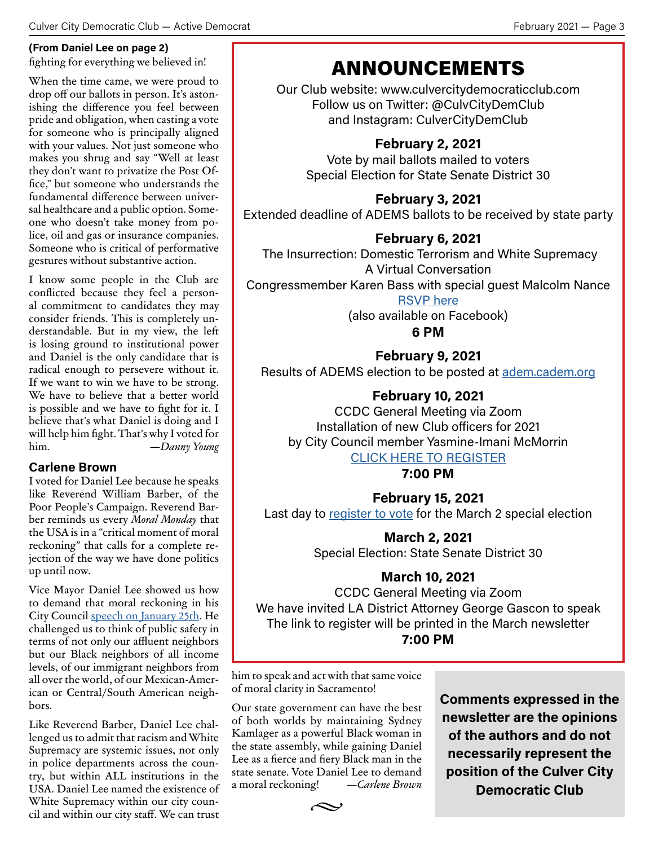#### **(From Daniel Lee on page 2)**

fghting for everything we believed in!

When the time came, we were proud to drop off our ballots in person. It's astonishing the diference you feel between pride and obligation, when casting a vote for someone who is principally aligned with your values. Not just someone who makes you shrug and say "Well at least they don't want to privatize the Post Office," but someone who understands the fundamental diference between universal healthcare and a public option. Someone who doesn't take money from police, oil and gas or insurance companies. Someone who is critical of performative gestures without substantive action.

I know some people in the Club are conficted because they feel a personal commitment to candidates they may consider friends. This is completely understandable. But in my view, the lef is losing ground to institutional power and Daniel is the only candidate that is radical enough to persevere without it. If we want to win we have to be strong. We have to believe that a better world is possible and we have to fght for it. I believe that's what Daniel is doing and I will help him fght. That's why I voted for him. *—Danny Young*

### **Carlene Brown**

I voted for Daniel Lee because he speaks like Reverend William Barber, of the Poor People's Campaign. Reverend Barber reminds us every *Moral Monday* that the USA is in a "critical moment of moral reckoning" that calls for a complete rejection of the way we have done politics up until now.

Vice Mayor Daniel Lee showed us how to demand that moral reckoning in his City Council speech on January 25th. He challenged us to think of public safety in terms of not only our affluent neighbors but our Black neighbors of all income levels, of our immigrant neighbors from all over the world, of our Mexican-American or Central/South American neighbors.

Like Reverend Barber, Daniel Lee challenged us to admit that racism and White Supremacy are systemic issues, not only in police departments across the country, but within ALL institutions in the USA. Daniel Lee named the existence of White Supremacy within our city council and within our city staf. We can trust

## ANNOUNCEMENTS

Our Club website: www.culvercitydemocraticclub.com Follow us on Twitter: @CulvCityDemClub and Instagram: CulverCityDemClub

### **February 2, 2021**

Vote by mail ballots mailed to voters Special Election for State Senate District 30

### **February 3, 2021**

Extended deadline of ADEMS ballots to be received by state party

### **February 6, 2021**

 The Insurrection: Domestic Terrorism and White Supremacy A Virtual Conversation

Congressmember Karen Bass with special guest Malcolm Nance

### RSVP here

(also available on Facebook)

### **6 PM**

**February 9, 2021** Results of ADEMS election to be posted at adem.cadem.org

### **February 10, 2021**

CCDC General Meeting via Zoom Installation of new Club oficers for 2021 by City Council member Yasmine-Imani McMorrin

### CLICK HERE TO REGISTER

**7:00 PM**

**February 15, 2021** Last day to register to vote for the March 2 special election

> **March 2, 2021** Special Election: State Senate District 30

### **March 10, 2021**

CCDC General Meeting via Zoom We have invited LA District Attorney George Gascon to speak The link to register will be printed in the March newsletter **7:00 PM**

him to speak and act with that same voice of moral clarity in Sacramento!

Our state government can have the best of both worlds by maintaining Sydney Kamlager as a powerful Black woman in the state assembly, while gaining Daniel Lee as a ferce and fery Black man in the state senate. Vote Daniel Lee to demand a moral reckoning! —*Carlene Brown* **Comments expressed in the newsletter are the opinions of the authors and do not necessarily represent the position of the Culver City Democratic Club**

 $\sim$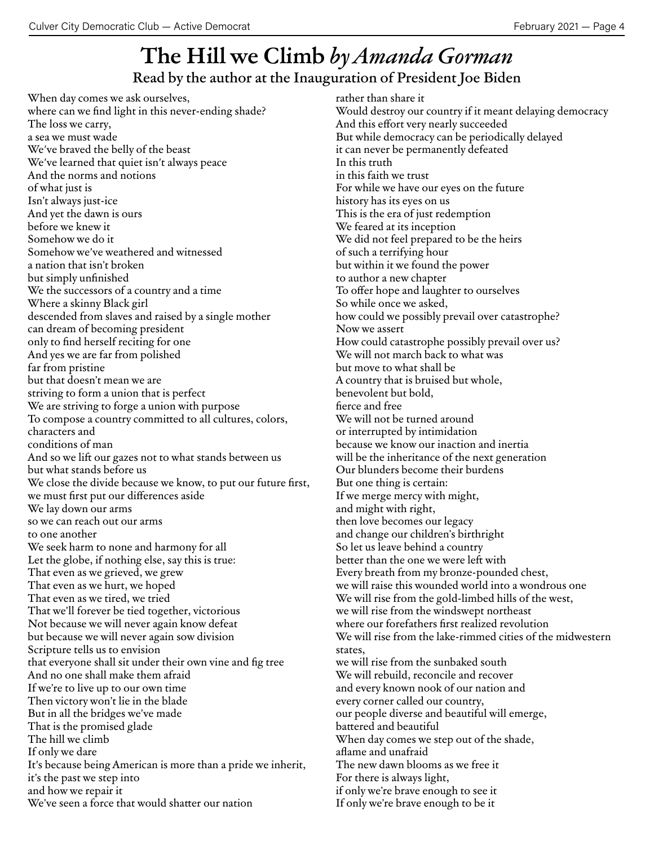## **The Hill we Climb** *by Amanda Gorman* Read by the author at the Inauguration of President Joe Biden

When day comes we ask ourselves, where can we fnd light in this never-ending shade? The loss we carry, a sea we must wade We've braved the belly of the beast We've learned that quiet isn't always peace And the norms and notions of what just is Isn't always just-ice And yet the dawn is ours before we knew it Somehow we do it Somehow we've weathered and witnessed a nation that isn't broken but simply unfnished We the successors of a country and a time Where a skinny Black girl descended from slaves and raised by a single mother can dream of becoming president only to fnd herself reciting for one And yes we are far from polished far from pristine but that doesn't mean we are striving to form a union that is perfect We are striving to forge a union with purpose To compose a country commited to all cultures, colors, characters and conditions of man And so we lift our gazes not to what stands between us but what stands before us We close the divide because we know, to put our future first, we must frst put our diferences aside We lay down our arms so we can reach out our arms to one another We seek harm to none and harmony for all Let the globe, if nothing else, say this is true: That even as we grieved, we grew That even as we hurt, we hoped That even as we tired, we tried That we'll forever be tied together, victorious Not because we will never again know defeat but because we will never again sow division Scripture tells us to envision that everyone shall sit under their own vine and fg tree And no one shall make them afraid If we're to live up to our own time Then victory won't lie in the blade But in all the bridges we've made That is the promised glade The hill we climb If only we dare It's because being American is more than a pride we inherit, it's the past we step into and how we repair it We've seen a force that would shatter our nation

rather than share it Would destroy our country if it meant delaying democracy And this effort very nearly succeeded But while democracy can be periodically delayed it can never be permanently defeated In this truth in this faith we trust For while we have our eyes on the future history has its eyes on us This is the era of just redemption We feared at its inception We did not feel prepared to be the heirs of such a terrifying hour but within it we found the power to author a new chapter To offer hope and laughter to ourselves So while once we asked, how could we possibly prevail over catastrophe? Now we assert How could catastrophe possibly prevail over us? We will not march back to what was but move to what shall be A country that is bruised but whole, benevolent but bold, ferce and free We will not be turned around or interrupted by intimidation because we know our inaction and inertia will be the inheritance of the next generation Our blunders become their burdens But one thing is certain: If we merge mercy with might, and might with right, then love becomes our legacy and change our children's birthright So let us leave behind a country better than the one we were left with Every breath from my bronze-pounded chest, we will raise this wounded world into a wondrous one We will rise from the gold-limbed hills of the west, we will rise from the windswept northeast where our forefathers frst realized revolution We will rise from the lake-rimmed cities of the midwestern states, we will rise from the sunbaked south We will rebuild, reconcile and recover and every known nook of our nation and every corner called our country, our people diverse and beautiful will emerge, batered and beautiful When day comes we step out of the shade, afame and unafraid The new dawn blooms as we free it For there is always light, if only we're brave enough to see it If only we're brave enough to be it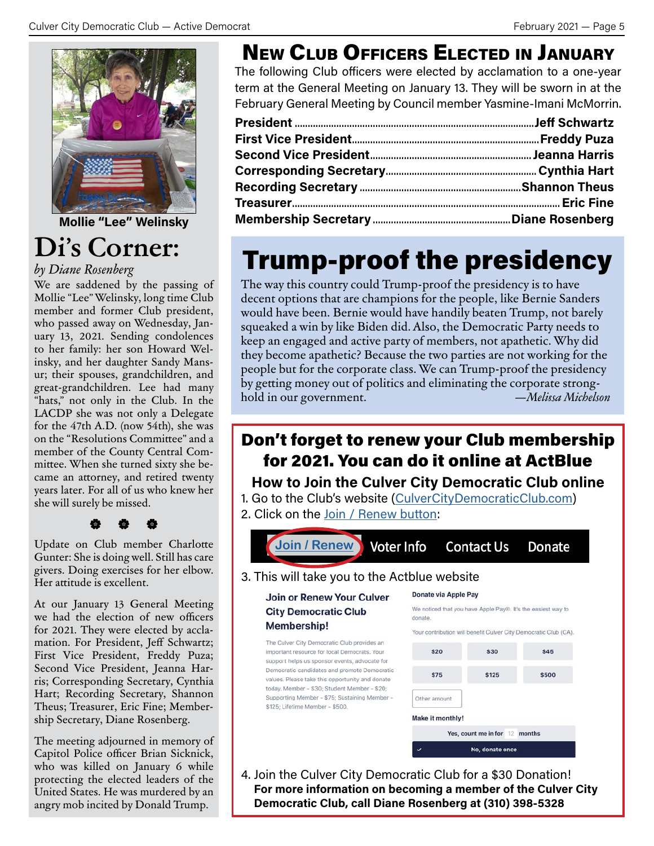

**Mollie "Lee" Welinsky**

## **Di's Corner:**

### *by Diane Rosenberg*

We are saddened by the passing of Mollie "Lee" Welinsky, long time Club member and former Club president, who passed away on Wednesday, January 13, 2021. Sending condolences to her family: her son Howard Welinsky, and her daughter Sandy Mansur; their spouses, grandchildren, and great-grandchildren. Lee had many "hats," not only in the Club. In the LACDP she was not only a Delegate for the 47th A.D. (now 54th), she was on the "Resolutions Commitee" and a member of the County Central Commitee. When she turned sixty she became an atorney, and retired twenty years later. For all of us who knew her she will surely be missed.

### V V V

Update on Club member Charlotte Gunter: She is doing well. Still has care givers. Doing exercises for her elbow. Her attitude is excellent.

At our January 13 General Meeting we had the election of new officers for 2021. They were elected by acclamation. For President, Jeff Schwartz; First Vice President, Freddy Puza; Second Vice President, Jeanna Harris; Corresponding Secretary, Cynthia Hart; Recording Secretary, Shannon Theus; Treasurer, Eric Fine; Membership Secretary, Diane Rosenberg.

The meeting adjourned in memory of Capitol Police officer Brian Sicknick, who was killed on January 6 while protecting the elected leaders of the United States. He was murdered by an angry mob incited by Donald Trump.

## NEW CLUB OFFICERS ELECTED IN JANUARY

The following Club oficers were elected by acclamation to a one-year term at the General Meeting on January 13. They will be sworn in at the February General Meeting by Council member Yasmine-Imani McMorrin.

## Trump-proof the presidency

The way this country could Trump-proof the presidency is to have decent options that are champions for the people, like Bernie Sanders would have been. Bernie would have handily beaten Trump, not barely squeaked a win by like Biden did. Also, the Democratic Party needs to keep an engaged and active party of members, not apathetic. Why did they become apathetic? Because the two parties are not working for the people but for the corporate class. We can Trump-proof the presidency by geting money out of politics and eliminating the corporate stronghold in our government. *—Melisa Michelson*

### Don't forget to renew your Club membership for 2021. You can do it online at ActBlue

**How to Join the Culver City Democratic Club online**

1. Go to the Club's website (CulverCityDemocraticClub.com) 2. Click on the Join / Renew button:



4. Join the Culver City Democratic Club for a \$30 Donation! **For more information on becoming a member of the Culver City Democratic Club, call Diane Rosenberg at (310) 398-5328**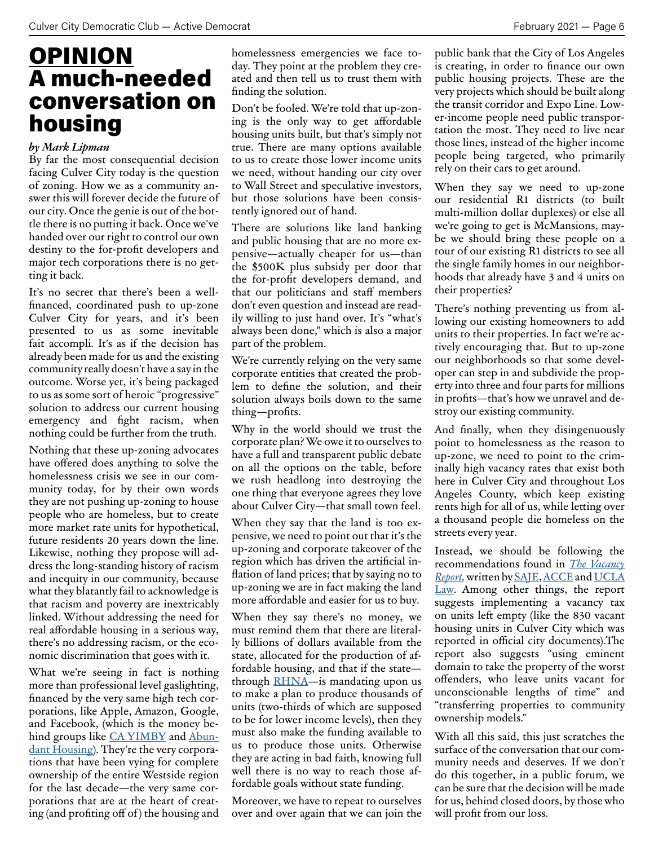## **OPINION** A much-needed conversation on housing

#### *by Mark Lipman*

By far the most consequential decision facing Culver City today is the question of zoning. How we as a community answer this will forever decide the future of our city. Once the genie is out of the bottle there is no puting it back. Once we've handed over our right to control our own destiny to the for-proft developers and major tech corporations there is no getting it back.

It's no secret that there's been a wellfnanced, coordinated push to up-zone Culver City for years, and it's been presented to us as some inevitable fait accompli. It's as if the decision has already been made for us and the existing community really doesn't have a say in the outcome. Worse yet, it's being packaged to us as some sort of heroic "progressive" solution to address our current housing emergency and fght racism, when nothing could be further from the truth.

Nothing that these up-zoning advocates have ofered does anything to solve the homelessness crisis we see in our community today, for by their own words they are not pushing up-zoning to house people who are homeless, but to create more market rate units for hypothetical, future residents 20 years down the line. Likewise, nothing they propose will address the long-standing history of racism and inequity in our community, because what they blatantly fail to acknowledge is that racism and poverty are inextricably linked. Without addressing the need for real afordable housing in a serious way, there's no addressing racism, or the economic discrimination that goes with it.

What we're seeing in fact is nothing more than professional level gaslighting, fnanced by the very same high tech corporations, like Apple, Amazon, Google, and Facebook, (which is the money behind groups like CA YIMBY and Abundant Housing). They're the very corporations that have been vying for complete ownership of the entire Westside region for the last decade—the very same corporations that are at the heart of creating (and profiting off of) the housing and

homelessness emergencies we face today. They point at the problem they created and then tell us to trust them with fnding the solution.

Don't be fooled. We're told that up-zoning is the only way to get afordable housing units built, but that's simply not true. There are many options available to us to create those lower income units we need, without handing our city over to Wall Street and speculative investors, but those solutions have been consistently ignored out of hand.

There are solutions like land banking and public housing that are no more expensive—actually cheaper for us—than the \$500K plus subsidy per door that the for-proft developers demand, and that our politicians and staff members don't even question and instead are readily willing to just hand over. It's "what's always been done," which is also a major part of the problem.

We're currently relying on the very same corporate entities that created the problem to defne the solution, and their solution always boils down to the same thing—profts.

Why in the world should we trust the corporate plan? We owe it to ourselves to have a full and transparent public debate on all the options on the table, before we rush headlong into destroying the one thing that everyone agrees they love about Culver City—that small town feel.

When they say that the land is too expensive, we need to point out that it's the up-zoning and corporate takeover of the region which has driven the artifcial infation of land prices; that by saying no to up-zoning we are in fact making the land more afordable and easier for us to buy.

When they say there's no money, we must remind them that there are literally billions of dollars available from the state, allocated for the production of affordable housing, and that if the state through **RHNA**-is mandating upon us to make a plan to produce thousands of units (two-thirds of which are supposed to be for lower income levels), then they must also make the funding available to us to produce those units. Otherwise they are acting in bad faith, knowing full well there is no way to reach those affordable goals without state funding.

Moreover, we have to repeat to ourselves over and over again that we can join the public bank that the City of Los Angeles is creating, in order to fnance our own public housing projects. These are the very projects which should be built along the transit corridor and Expo Line. Lower-income people need public transportation the most. They need to live near those lines, instead of the higher income people being targeted, who primarily rely on their cars to get around.

When they say we need to up-zone our residential R1 districts (to built multi-million dollar duplexes) or else all we're going to get is McMansions, maybe we should bring these people on a tour of our existing R1 districts to see all the single family homes in our neighborhoods that already have 3 and 4 units on their properties?

There's nothing preventing us from allowing our existing homeowners to add units to their properties. In fact we're actively encouraging that. But to up-zone our neighborhoods so that some developer can step in and subdivide the property into three and four parts for millions in profts—that's how we unravel and destroy our existing community.

And fnally, when they disingenuously point to homelessness as the reason to up-zone, we need to point to the criminally high vacancy rates that exist both here in Culver City and throughout Los Angeles County, which keep existing rents high for all of us, while leting over a thousand people die homeless on the streets every year.

Instead, we should be following the recommendations found in *The Vacancy Report,* writen by SAJE, ACCE and UCLA Law. Among other things, the report suggests implementing a vacancy tax on units left empty (like the 830 vacant housing units in Culver City which was reported in official city documents). The report also suggests "using eminent domain to take the property of the worst ofenders, who leave units vacant for unconscionable lengths of time" and "transferring properties to community ownership models."

With all this said, this just scratches the surface of the conversation that our community needs and deserves. If we don't do this together, in a public forum, we can be sure that the decision will be made for us, behind closed doors, by those who will profit from our loss.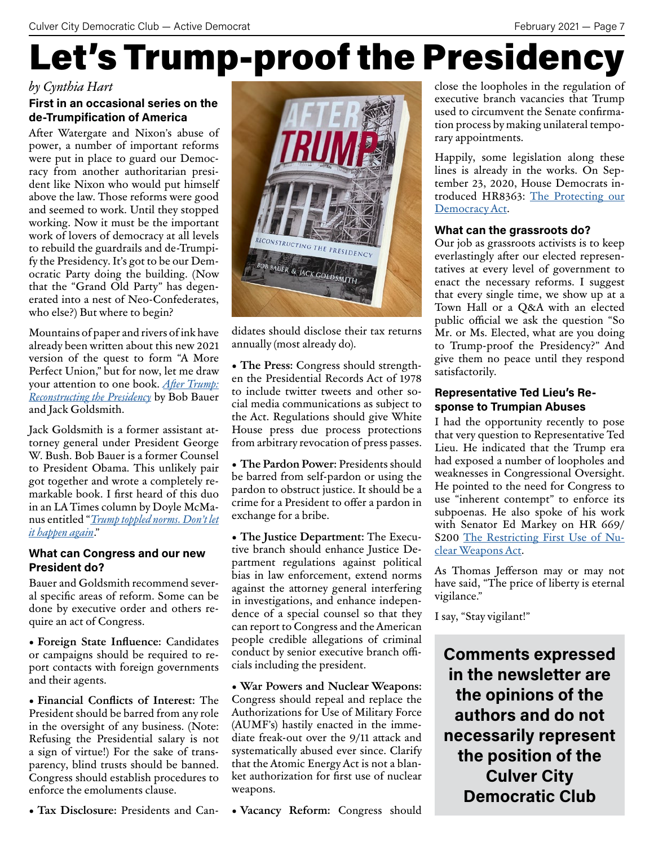# Let's Trump-proof the Presidency

### *by Cynthia Hart*

### **First in an occasional series on the de-Trumpification of America**

Afer Watergate and Nixon's abuse of power, a number of important reforms were put in place to guard our Democracy from another authoritarian president like Nixon who would put himself above the law. Those reforms were good and seemed to work. Until they stopped working. Now it must be the important work of lovers of democracy at all levels to rebuild the guardrails and de-Trumpify the Presidency. It's got to be our Democratic Party doing the building. (Now that the "Grand Old Party" has degenerated into a nest of Neo-Confederates, who else?) But where to begin?

Mountains of paper and rivers of ink have already been writen about this new 2021 version of the quest to form "A More Perfect Union," but for now, let me draw your atention to one book. *Afer Trump: Reconstructing the Presidency* by Bob Bauer and Jack Goldsmith.

Jack Goldsmith is a former assistant attorney general under President George W. Bush. Bob Bauer is a former Counsel to President Obama. This unlikely pair got together and wrote a completely remarkable book. I frst heard of this duo in an LA Times column by Doyle McManus entitled "*Trump toppled norms. Don't let it happen again*."

### **What can Congress and our new President do?**

Bauer and Goldsmith recommend several specifc areas of reform. Some can be done by executive order and others require an act of Congress.

• **Foreign State Infuence:** Candidates or campaigns should be required to report contacts with foreign governments and their agents.

• **Financial Conficts of Interest:** The President should be barred from any role in the oversight of any business. (Note: Refusing the Presidential salary is not a sign of virtue!) For the sake of transparency, blind trusts should be banned. Congress should establish procedures to enforce the emoluments clause.

• **Tax Disclosure:** Presidents and Can-



didates should disclose their tax returns annually (most already do).

• **The Press:** Congress should strengthen the Presidential Records Act of 1978 to include twiter tweets and other social media communications as subject to the Act. Regulations should give White House press due process protections from arbitrary revocation of press passes.

• **The Pardon Power:** Presidents should be barred from self-pardon or using the pardon to obstruct justice. It should be a crime for a President to offer a pardon in exchange for a bribe.

• **The Justice Department:** The Executive branch should enhance Justice Department regulations against political bias in law enforcement, extend norms against the atorney general interfering in investigations, and enhance independence of a special counsel so that they can report to Congress and the American people credible allegations of criminal conduct by senior executive branch officials including the president.

• **War Powers and Nuclear Weapons:**  Congress should repeal and replace the Authorizations for Use of Military Force (AUMF's) hastily enacted in the immediate freak-out over the 9/11 atack and systematically abused ever since. Clarify that the Atomic Energy Act is not a blanket authorization for frst use of nuclear weapons.

• **Vacancy Reform:** Congress should

close the loopholes in the regulation of executive branch vacancies that Trump used to circumvent the Senate confrmation process by making unilateral temporary appointments.

Happily, some legislation along these lines is already in the works. On September 23, 2020, House Democrats introduced HR8363: The Protecting our Democracy Act.

### **What can the grassroots do?**

Our job as grassroots activists is to keep everlastingly afer our elected representatives at every level of government to enact the necessary reforms. I suggest that every single time, we show up at a Town Hall or a Q&A with an elected public official we ask the question "So Mr. or Ms. Elected, what are you doing to Trump-proof the Presidency?" And give them no peace until they respond satisfactorily.

### **Representative Ted Lieu's Response to Trumpian Abuses**

I had the opportunity recently to pose that very question to Representative Ted Lieu. He indicated that the Trump era had exposed a number of loopholes and weaknesses in Congressional Oversight. He pointed to the need for Congress to use "inherent contempt" to enforce its subpoenas. He also spoke of his work with Senator Ed Markey on HR 669/ S200 The Restricting First Use of Nuclear Weapons Act.

As Thomas Jeferson may or may not have said, "The price of liberty is eternal vigilance."

I say, "Stay vigilant!"

**Comments expressed in the newsletter are the opinions of the authors and do not necessarily represent the position of the Culver City Democratic Club**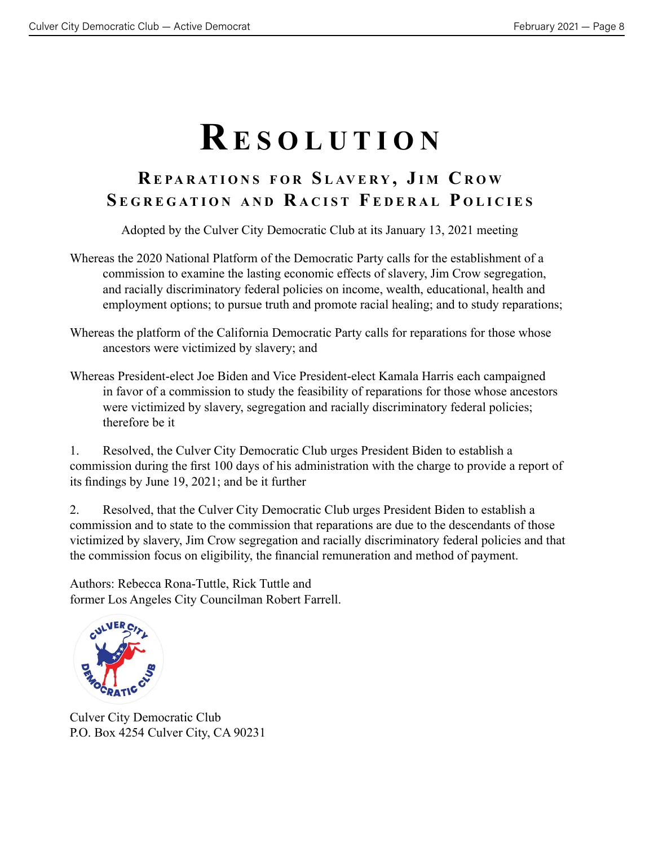# **R esolution**

### **R epa R ations f o R s l av e R y , J i m C R o w s e g R egation and R a C ist f ede R a l p oli C ies**

Adopted by the Culver City Democratic Club at its January 13, 2021 meeting

- Whereas the 2020 National Platform of the Democratic Party calls for the establishment of a commission to examine the lasting economic effects of slavery, Jim Crow segregation, and racially discriminatory federal policies on income, wealth, educational, health and employment options; to pursue truth and promote racial healing; and to study reparations;
- Whereas the platform of the California Democratic Party calls for reparations for those whose ancestors were victimized by slavery; and
- Whereas President-elect Joe Biden and Vice President-elect Kamala Harris each campaigned in favor of a commission to study the feasibility of reparations for those whose ancestors were victimized by slavery, segregation and racially discriminatory federal policies; therefore be it

1. Resolved, the Culver City Democratic Club urges President Biden to establish a commission during the frst 100 days of his administration with the charge to provide a report of its fndings by June 19, 2021; and be it further

2. Resolved, that the Culver City Democratic Club urges President Biden to establish a commission and to state to the commission that reparations are due to the descendants of those victimized by slavery, Jim Crow segregation and racially discriminatory federal policies and that the commission focus on eligibility, the fnancial remuneration and method of payment.

Authors: Rebecca Rona-Tuttle, Rick Tuttle and former Los Angeles City Councilman Robert Farrell.



Culver City Democratic Club P.O. Box 4254 Culver City, CA 90231